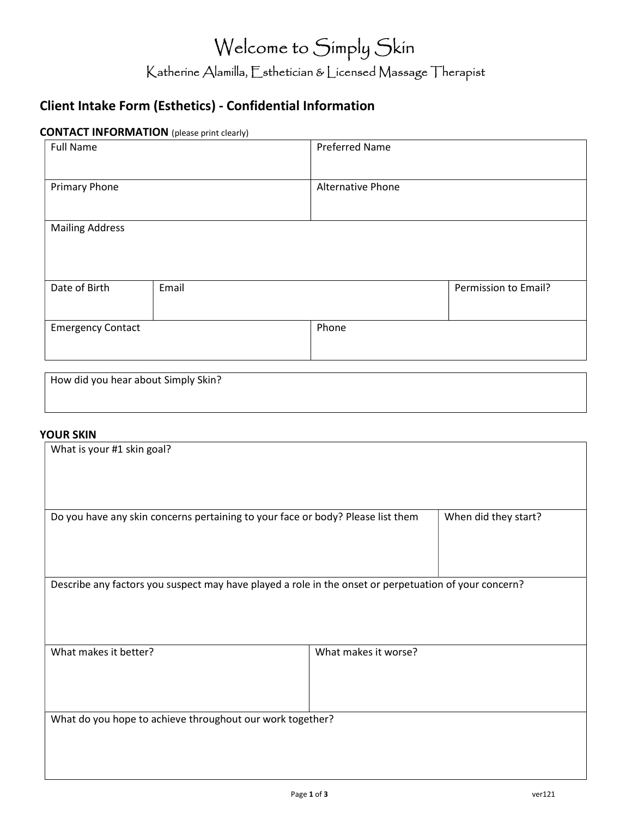# Welcome to Simply Skin Katherine Alamilla, Esthetician & Licensed Massage Therapist

## Client Intake Form (Esthetics) - Confidential Information

#### CONTACT INFORMATION (please print clearly)

| <b>Full Name</b>         |       | <b>Preferred Name</b>    |       |                      |
|--------------------------|-------|--------------------------|-------|----------------------|
| <b>Primary Phone</b>     |       | <b>Alternative Phone</b> |       |                      |
| <b>Mailing Address</b>   |       |                          |       |                      |
| Date of Birth            | Email |                          |       | Permission to Email? |
| <b>Emergency Contact</b> |       |                          | Phone |                      |

| How did you hear about Simply Skin? |  |  |
|-------------------------------------|--|--|
|                                     |  |  |

#### YOUR SKIN

| What is your #1 skin goal?                                                                              |                      |  |  |
|---------------------------------------------------------------------------------------------------------|----------------------|--|--|
|                                                                                                         |                      |  |  |
| When did they start?<br>Do you have any skin concerns pertaining to your face or body? Please list them |                      |  |  |
| Describe any factors you suspect may have played a role in the onset or perpetuation of your concern?   |                      |  |  |
| What makes it better?                                                                                   | What makes it worse? |  |  |
| What do you hope to achieve throughout our work together?                                               |                      |  |  |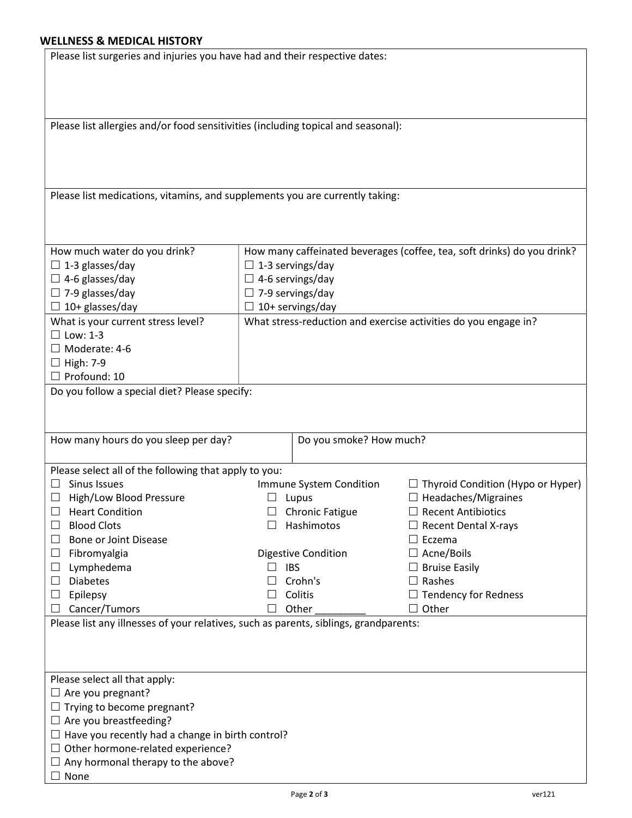### WELLNESS & MEDICAL HISTO

 $\Box$  None

| Please list surgeries and injuries you have had and their respective dates:<br>Please list allergies and/or food sensitivities (including topical and seasonal):<br>Please list medications, vitamins, and supplements you are currently taking: |
|--------------------------------------------------------------------------------------------------------------------------------------------------------------------------------------------------------------------------------------------------|
|                                                                                                                                                                                                                                                  |
|                                                                                                                                                                                                                                                  |
|                                                                                                                                                                                                                                                  |
|                                                                                                                                                                                                                                                  |
|                                                                                                                                                                                                                                                  |
|                                                                                                                                                                                                                                                  |
|                                                                                                                                                                                                                                                  |
|                                                                                                                                                                                                                                                  |
|                                                                                                                                                                                                                                                  |
|                                                                                                                                                                                                                                                  |
|                                                                                                                                                                                                                                                  |
|                                                                                                                                                                                                                                                  |
|                                                                                                                                                                                                                                                  |
|                                                                                                                                                                                                                                                  |
|                                                                                                                                                                                                                                                  |
| How much water do you drink?<br>How many caffeinated beverages (coffee, tea, soft drinks) do you drink?                                                                                                                                          |
| $\Box$ 1-3 glasses/day                                                                                                                                                                                                                           |
| $\Box$ 1-3 servings/day                                                                                                                                                                                                                          |
| $\Box$ 4-6 glasses/day<br>$\Box$ 4-6 servings/day                                                                                                                                                                                                |
| $\Box$ 7-9 glasses/day<br>$\Box$ 7-9 servings/day                                                                                                                                                                                                |
| $\Box$ 10+ glasses/day<br>$\Box$ 10+ servings/day                                                                                                                                                                                                |
| What is your current stress level?<br>What stress-reduction and exercise activities do you engage in?                                                                                                                                            |
| $\Box$ Low: 1-3                                                                                                                                                                                                                                  |
|                                                                                                                                                                                                                                                  |
| □ Moderate: 4-6                                                                                                                                                                                                                                  |
|                                                                                                                                                                                                                                                  |
| $\Box$ High: 7-9                                                                                                                                                                                                                                 |
| $\Box$ Profound: 10                                                                                                                                                                                                                              |
| Do you follow a special diet? Please specify:                                                                                                                                                                                                    |
|                                                                                                                                                                                                                                                  |
|                                                                                                                                                                                                                                                  |
| How many hours do you sleep per day?<br>Do you smoke? How much?                                                                                                                                                                                  |
|                                                                                                                                                                                                                                                  |
|                                                                                                                                                                                                                                                  |
| Please select all of the following that apply to you:                                                                                                                                                                                            |
| Sinus Issues<br>$\Box$ Thyroid Condition (Hypo or Hyper)<br>Immune System Condition                                                                                                                                                              |
| High/Low Blood Pressure<br>$\Box$ Headaches/Migraines<br>Lupus                                                                                                                                                                                   |
| <b>Chronic Fatigue</b><br><b>Heart Condition</b><br>$\Box$ Recent Antibiotics                                                                                                                                                                    |
| <b>Blood Clots</b><br>Hashimotos<br>$\Box$ Recent Dental X-rays                                                                                                                                                                                  |
| Bone or Joint Disease<br>$\Box$ Eczema<br>ப                                                                                                                                                                                                      |
| $\Box$ Acne/Boils<br>Fibromyalgia<br><b>Digestive Condition</b><br>ப                                                                                                                                                                             |
| $\Box$ Bruise Easily<br>Lymphedema<br>$\Box$ IBS<br>ப                                                                                                                                                                                            |
| $\Box$ Rashes<br><b>Diabetes</b><br>Crohn's                                                                                                                                                                                                      |
|                                                                                                                                                                                                                                                  |
| $\Box$ Tendency for Redness<br>Epilepsy<br>Colitis<br>$\sqcup$                                                                                                                                                                                   |
| Cancer/Tumors<br>$\Box$ Other<br>Other                                                                                                                                                                                                           |
| Please list any illnesses of your relatives, such as parents, siblings, grandparents:                                                                                                                                                            |
|                                                                                                                                                                                                                                                  |
|                                                                                                                                                                                                                                                  |
|                                                                                                                                                                                                                                                  |
| Please select all that apply:                                                                                                                                                                                                                    |
| $\Box$ Are you pregnant?                                                                                                                                                                                                                         |
| $\Box$ Trying to become pregnant?                                                                                                                                                                                                                |
| $\Box$ Are you breastfeeding?                                                                                                                                                                                                                    |
|                                                                                                                                                                                                                                                  |
| $\Box$ Have you recently had a change in birth control?<br>$\Box$ Other hormone-related experience?                                                                                                                                              |